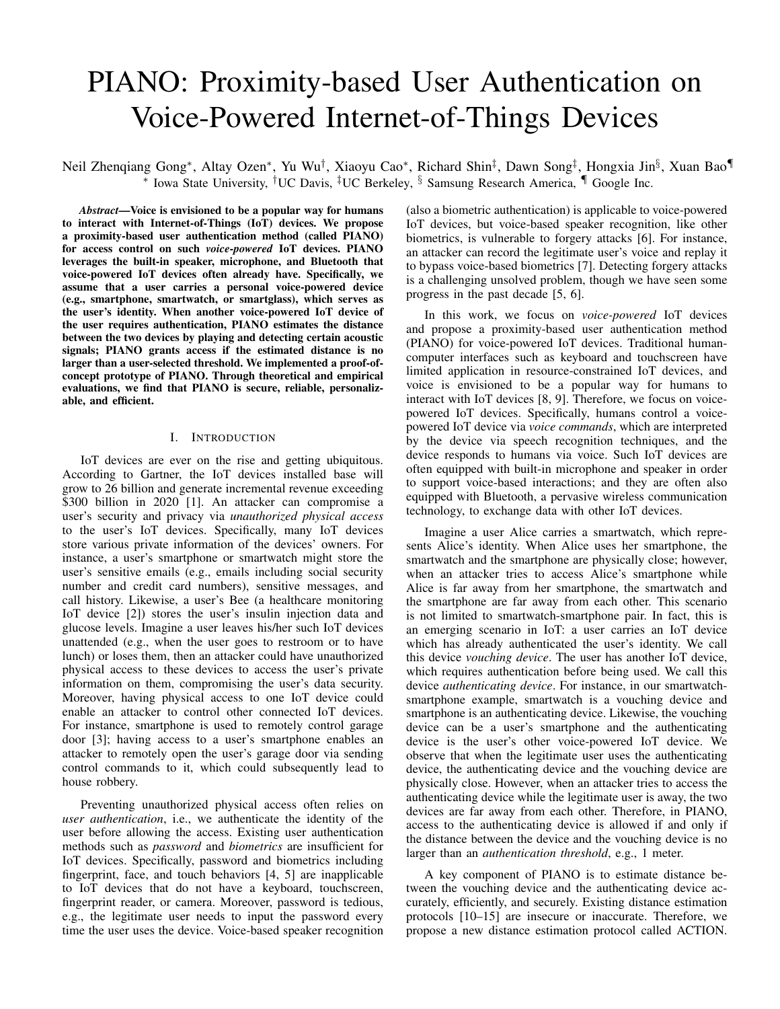# PIANO: Proximity-based User Authentication on Voice-Powered Internet-of-Things Devices

Neil Zhenqiang Gong\*, Altay Ozen\*, Yu Wu<sup>†</sup>, Xiaoyu Cao\*, Richard Shin<sup>‡</sup>, Dawn Song<sup>‡</sup>, Hongxia Jin<sup>§</sup>, Xuan Bao¶ ∗ Iowa State University, †UC Davis, ‡UC Berkeley, § Samsung Research America, ¶ Google Inc.

*Abstract*—Voice is envisioned to be a popular way for humans to interact with Internet-of-Things (IoT) devices. We propose a proximity-based user authentication method (called PIANO) for access control on such *voice-powered* IoT devices. PIANO leverages the built-in speaker, microphone, and Bluetooth that voice-powered IoT devices often already have. Specifically, we assume that a user carries a personal voice-powered device (e.g., smartphone, smartwatch, or smartglass), which serves as the user's identity. When another voice-powered IoT device of the user requires authentication, PIANO estimates the distance between the two devices by playing and detecting certain acoustic signals; PIANO grants access if the estimated distance is no larger than a user-selected threshold. We implemented a proof-ofconcept prototype of PIANO. Through theoretical and empirical evaluations, we find that PIANO is secure, reliable, personalizable, and efficient.

#### I. INTRODUCTION

IoT devices are ever on the rise and getting ubiquitous. According to Gartner, the IoT devices installed base will grow to 26 billion and generate incremental revenue exceeding \$300 billion in 2020 [1]. An attacker can compromise a user's security and privacy via *unauthorized physical access* to the user's IoT devices. Specifically, many IoT devices store various private information of the devices' owners. For instance, a user's smartphone or smartwatch might store the user's sensitive emails (e.g., emails including social security number and credit card numbers), sensitive messages, and call history. Likewise, a user's Bee (a healthcare monitoring IoT device [2]) stores the user's insulin injection data and glucose levels. Imagine a user leaves his/her such IoT devices unattended (e.g., when the user goes to restroom or to have lunch) or loses them, then an attacker could have unauthorized physical access to these devices to access the user's private information on them, compromising the user's data security. Moreover, having physical access to one IoT device could enable an attacker to control other connected IoT devices. For instance, smartphone is used to remotely control garage door [3]; having access to a user's smartphone enables an attacker to remotely open the user's garage door via sending control commands to it, which could subsequently lead to house robbery.

Preventing unauthorized physical access often relies on *user authentication*, i.e., we authenticate the identity of the user before allowing the access. Existing user authentication methods such as *password* and *biometrics* are insufficient for IoT devices. Specifically, password and biometrics including fingerprint, face, and touch behaviors [4, 5] are inapplicable to IoT devices that do not have a keyboard, touchscreen, fingerprint reader, or camera. Moreover, password is tedious, e.g., the legitimate user needs to input the password every time the user uses the device. Voice-based speaker recognition (also a biometric authentication) is applicable to voice-powered IoT devices, but voice-based speaker recognition, like other biometrics, is vulnerable to forgery attacks [6]. For instance, an attacker can record the legitimate user's voice and replay it to bypass voice-based biometrics [7]. Detecting forgery attacks is a challenging unsolved problem, though we have seen some progress in the past decade [5, 6].

In this work, we focus on *voice-powered* IoT devices and propose a proximity-based user authentication method (PIANO) for voice-powered IoT devices. Traditional humancomputer interfaces such as keyboard and touchscreen have limited application in resource-constrained IoT devices, and voice is envisioned to be a popular way for humans to interact with IoT devices [8, 9]. Therefore, we focus on voicepowered IoT devices. Specifically, humans control a voicepowered IoT device via *voice commands*, which are interpreted by the device via speech recognition techniques, and the device responds to humans via voice. Such IoT devices are often equipped with built-in microphone and speaker in order to support voice-based interactions; and they are often also equipped with Bluetooth, a pervasive wireless communication technology, to exchange data with other IoT devices.

Imagine a user Alice carries a smartwatch, which represents Alice's identity. When Alice uses her smartphone, the smartwatch and the smartphone are physically close; however, when an attacker tries to access Alice's smartphone while Alice is far away from her smartphone, the smartwatch and the smartphone are far away from each other. This scenario is not limited to smartwatch-smartphone pair. In fact, this is an emerging scenario in IoT: a user carries an IoT device which has already authenticated the user's identity. We call this device *vouching device*. The user has another IoT device, which requires authentication before being used. We call this device *authenticating device*. For instance, in our smartwatchsmartphone example, smartwatch is a vouching device and smartphone is an authenticating device. Likewise, the vouching device can be a user's smartphone and the authenticating device is the user's other voice-powered IoT device. We observe that when the legitimate user uses the authenticating device, the authenticating device and the vouching device are physically close. However, when an attacker tries to access the authenticating device while the legitimate user is away, the two devices are far away from each other. Therefore, in PIANO, access to the authenticating device is allowed if and only if the distance between the device and the vouching device is no larger than an *authentication threshold*, e.g., 1 meter.

A key component of PIANO is to estimate distance between the vouching device and the authenticating device accurately, efficiently, and securely. Existing distance estimation protocols [10–15] are insecure or inaccurate. Therefore, we propose a new distance estimation protocol called ACTION.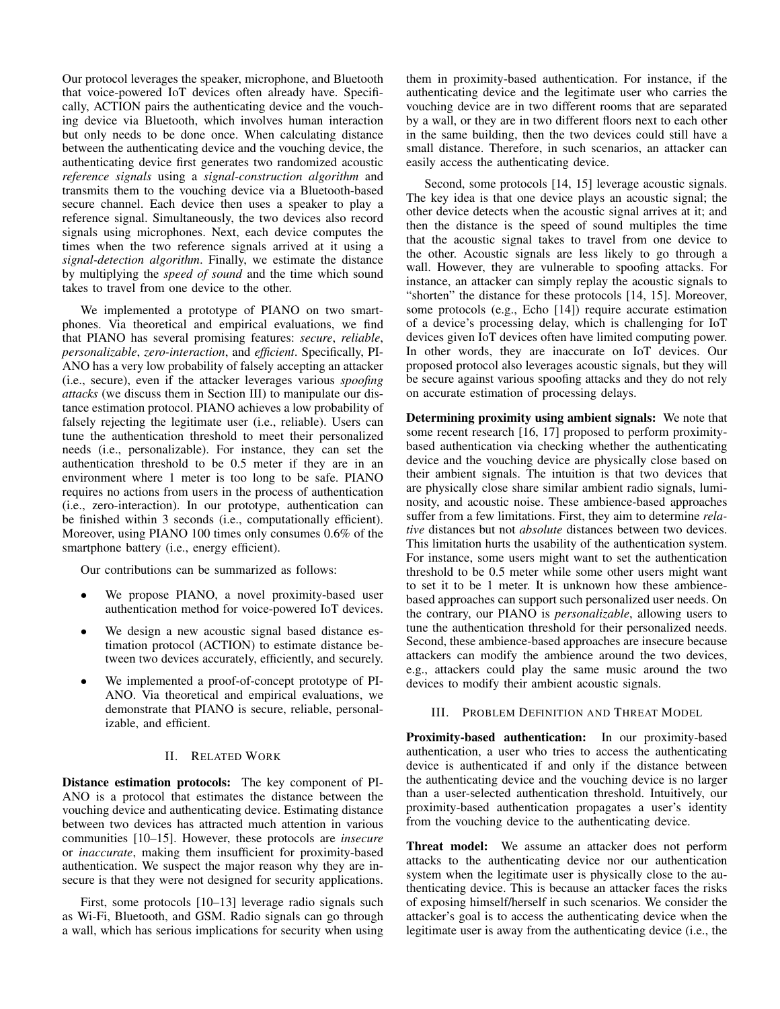Our protocol leverages the speaker, microphone, and Bluetooth that voice-powered IoT devices often already have. Specifically, ACTION pairs the authenticating device and the vouching device via Bluetooth, which involves human interaction but only needs to be done once. When calculating distance between the authenticating device and the vouching device, the authenticating device first generates two randomized acoustic *reference signals* using a *signal-construction algorithm* and transmits them to the vouching device via a Bluetooth-based secure channel. Each device then uses a speaker to play a reference signal. Simultaneously, the two devices also record signals using microphones. Next, each device computes the times when the two reference signals arrived at it using a *signal-detection algorithm*. Finally, we estimate the distance by multiplying the *speed of sound* and the time which sound takes to travel from one device to the other.

We implemented a prototype of PIANO on two smartphones. Via theoretical and empirical evaluations, we find that PIANO has several promising features: *secure*, *reliable*, *personalizable*, *zero-interaction*, and *efficient*. Specifically, PI-ANO has a very low probability of falsely accepting an attacker (i.e., secure), even if the attacker leverages various *spoofing attacks* (we discuss them in Section III) to manipulate our distance estimation protocol. PIANO achieves a low probability of falsely rejecting the legitimate user (i.e., reliable). Users can tune the authentication threshold to meet their personalized needs (i.e., personalizable). For instance, they can set the authentication threshold to be 0.5 meter if they are in an environment where 1 meter is too long to be safe. PIANO requires no actions from users in the process of authentication (i.e., zero-interaction). In our prototype, authentication can be finished within 3 seconds (i.e., computationally efficient). Moreover, using PIANO 100 times only consumes 0.6% of the smartphone battery (i.e., energy efficient).

Our contributions can be summarized as follows:

- We propose PIANO, a novel proximity-based user authentication method for voice-powered IoT devices.
- We design a new acoustic signal based distance estimation protocol (ACTION) to estimate distance between two devices accurately, efficiently, and securely.
- We implemented a proof-of-concept prototype of PI-ANO. Via theoretical and empirical evaluations, we demonstrate that PIANO is secure, reliable, personalizable, and efficient.

# II. RELATED WORK

Distance estimation protocols: The key component of PI-ANO is a protocol that estimates the distance between the vouching device and authenticating device. Estimating distance between two devices has attracted much attention in various communities [10–15]. However, these protocols are *insecure* or *inaccurate*, making them insufficient for proximity-based authentication. We suspect the major reason why they are insecure is that they were not designed for security applications.

First, some protocols [10–13] leverage radio signals such as Wi-Fi, Bluetooth, and GSM. Radio signals can go through a wall, which has serious implications for security when using them in proximity-based authentication. For instance, if the authenticating device and the legitimate user who carries the vouching device are in two different rooms that are separated by a wall, or they are in two different floors next to each other in the same building, then the two devices could still have a small distance. Therefore, in such scenarios, an attacker can easily access the authenticating device.

Second, some protocols [14, 15] leverage acoustic signals. The key idea is that one device plays an acoustic signal; the other device detects when the acoustic signal arrives at it; and then the distance is the speed of sound multiples the time that the acoustic signal takes to travel from one device to the other. Acoustic signals are less likely to go through a wall. However, they are vulnerable to spoofing attacks. For instance, an attacker can simply replay the acoustic signals to "shorten" the distance for these protocols [14, 15]. Moreover, some protocols (e.g., Echo [14]) require accurate estimation of a device's processing delay, which is challenging for IoT devices given IoT devices often have limited computing power. In other words, they are inaccurate on IoT devices. Our proposed protocol also leverages acoustic signals, but they will be secure against various spoofing attacks and they do not rely on accurate estimation of processing delays.

Determining proximity using ambient signals: We note that some recent research [16, 17] proposed to perform proximitybased authentication via checking whether the authenticating device and the vouching device are physically close based on their ambient signals. The intuition is that two devices that are physically close share similar ambient radio signals, luminosity, and acoustic noise. These ambience-based approaches suffer from a few limitations. First, they aim to determine *relative* distances but not *absolute* distances between two devices. This limitation hurts the usability of the authentication system. For instance, some users might want to set the authentication threshold to be 0.5 meter while some other users might want to set it to be 1 meter. It is unknown how these ambiencebased approaches can support such personalized user needs. On the contrary, our PIANO is *personalizable*, allowing users to tune the authentication threshold for their personalized needs. Second, these ambience-based approaches are insecure because attackers can modify the ambience around the two devices, e.g., attackers could play the same music around the two devices to modify their ambient acoustic signals.

# III. PROBLEM DEFINITION AND THREAT MODEL

Proximity-based authentication: In our proximity-based authentication, a user who tries to access the authenticating device is authenticated if and only if the distance between the authenticating device and the vouching device is no larger than a user-selected authentication threshold. Intuitively, our proximity-based authentication propagates a user's identity from the vouching device to the authenticating device.

Threat model: We assume an attacker does not perform attacks to the authenticating device nor our authentication system when the legitimate user is physically close to the authenticating device. This is because an attacker faces the risks of exposing himself/herself in such scenarios. We consider the attacker's goal is to access the authenticating device when the legitimate user is away from the authenticating device (i.e., the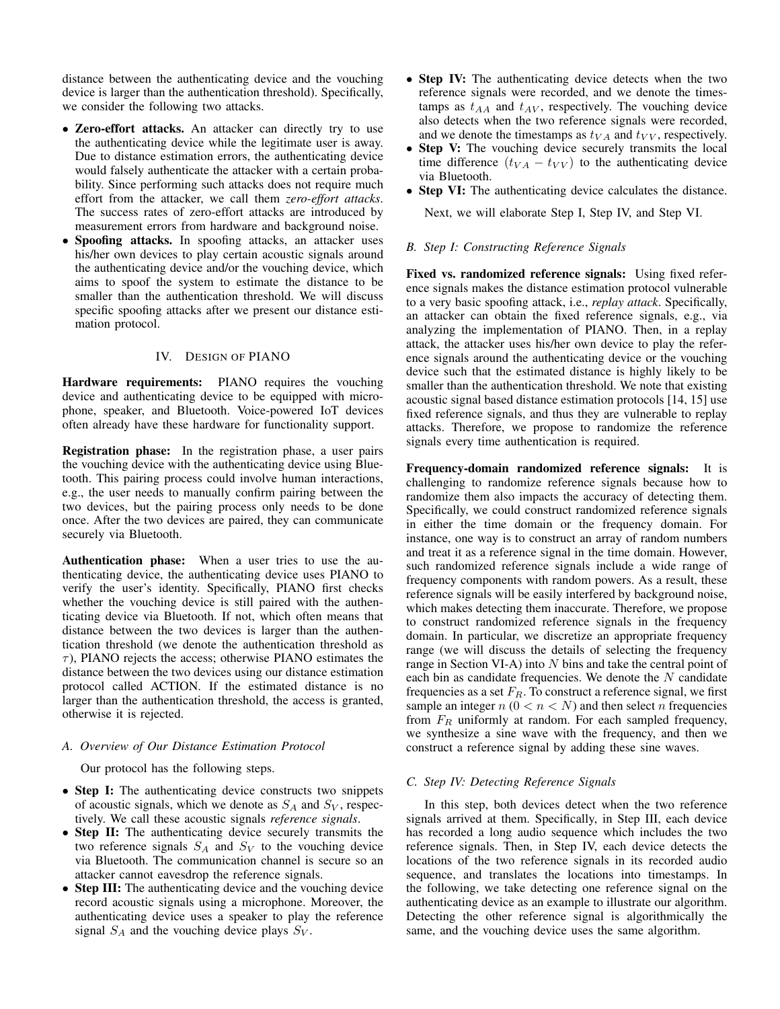distance between the authenticating device and the vouching device is larger than the authentication threshold). Specifically, we consider the following two attacks.

- Zero-effort attacks. An attacker can directly try to use the authenticating device while the legitimate user is away. Due to distance estimation errors, the authenticating device would falsely authenticate the attacker with a certain probability. Since performing such attacks does not require much effort from the attacker, we call them *zero-effort attacks*. The success rates of zero-effort attacks are introduced by measurement errors from hardware and background noise.
- Spoofing attacks. In spoofing attacks, an attacker uses his/her own devices to play certain acoustic signals around the authenticating device and/or the vouching device, which aims to spoof the system to estimate the distance to be smaller than the authentication threshold. We will discuss specific spoofing attacks after we present our distance estimation protocol.

# IV. DESIGN OF PIANO

Hardware requirements: PIANO requires the vouching device and authenticating device to be equipped with microphone, speaker, and Bluetooth. Voice-powered IoT devices often already have these hardware for functionality support.

Registration phase: In the registration phase, a user pairs the vouching device with the authenticating device using Bluetooth. This pairing process could involve human interactions, e.g., the user needs to manually confirm pairing between the two devices, but the pairing process only needs to be done once. After the two devices are paired, they can communicate securely via Bluetooth.

Authentication phase: When a user tries to use the authenticating device, the authenticating device uses PIANO to verify the user's identity. Specifically, PIANO first checks whether the vouching device is still paired with the authenticating device via Bluetooth. If not, which often means that distance between the two devices is larger than the authentication threshold (we denote the authentication threshold as  $\tau$ ), PIANO rejects the access; otherwise PIANO estimates the distance between the two devices using our distance estimation protocol called ACTION. If the estimated distance is no larger than the authentication threshold, the access is granted, otherwise it is rejected.

# *A. Overview of Our Distance Estimation Protocol*

Our protocol has the following steps.

- Step I: The authenticating device constructs two snippets of acoustic signals, which we denote as  $S_A$  and  $S_V$ , respectively. We call these acoustic signals *reference signals*.
- Step II: The authenticating device securely transmits the two reference signals  $S_A$  and  $S_V$  to the vouching device via Bluetooth. The communication channel is secure so an attacker cannot eavesdrop the reference signals.
- Step III: The authenticating device and the vouching device record acoustic signals using a microphone. Moreover, the authenticating device uses a speaker to play the reference signal  $S_A$  and the vouching device plays  $S_V$ .
- Step IV: The authenticating device detects when the two reference signals were recorded, and we denote the timestamps as  $t_{AA}$  and  $t_{AV}$ , respectively. The vouching device also detects when the two reference signals were recorded, and we denote the timestamps as  $t_{VA}$  and  $t_{VV}$ , respectively.
- Step V: The vouching device securely transmits the local time difference  $(t_{VA} - t_{VV})$  to the authenticating device via Bluetooth.
- Step VI: The authenticating device calculates the distance.

Next, we will elaborate Step I, Step IV, and Step VI.

# *B. Step I: Constructing Reference Signals*

Fixed vs. randomized reference signals: Using fixed reference signals makes the distance estimation protocol vulnerable to a very basic spoofing attack, i.e., *replay attack*. Specifically, an attacker can obtain the fixed reference signals, e.g., via analyzing the implementation of PIANO. Then, in a replay attack, the attacker uses his/her own device to play the reference signals around the authenticating device or the vouching device such that the estimated distance is highly likely to be smaller than the authentication threshold. We note that existing acoustic signal based distance estimation protocols [14, 15] use fixed reference signals, and thus they are vulnerable to replay attacks. Therefore, we propose to randomize the reference signals every time authentication is required.

Frequency-domain randomized reference signals: It is challenging to randomize reference signals because how to randomize them also impacts the accuracy of detecting them. Specifically, we could construct randomized reference signals in either the time domain or the frequency domain. For instance, one way is to construct an array of random numbers and treat it as a reference signal in the time domain. However, such randomized reference signals include a wide range of frequency components with random powers. As a result, these reference signals will be easily interfered by background noise, which makes detecting them inaccurate. Therefore, we propose to construct randomized reference signals in the frequency domain. In particular, we discretize an appropriate frequency range (we will discuss the details of selecting the frequency range in Section VI-A) into  $N$  bins and take the central point of each bin as candidate frequencies. We denote the  $N$  candidate frequencies as a set  $F_R$ . To construct a reference signal, we first sample an integer  $n (0 < n < N)$  and then select n frequencies from  $F_R$  uniformly at random. For each sampled frequency, we synthesize a sine wave with the frequency, and then we construct a reference signal by adding these sine waves.

# *C. Step IV: Detecting Reference Signals*

In this step, both devices detect when the two reference signals arrived at them. Specifically, in Step III, each device has recorded a long audio sequence which includes the two reference signals. Then, in Step IV, each device detects the locations of the two reference signals in its recorded audio sequence, and translates the locations into timestamps. In the following, we take detecting one reference signal on the authenticating device as an example to illustrate our algorithm. Detecting the other reference signal is algorithmically the same, and the vouching device uses the same algorithm.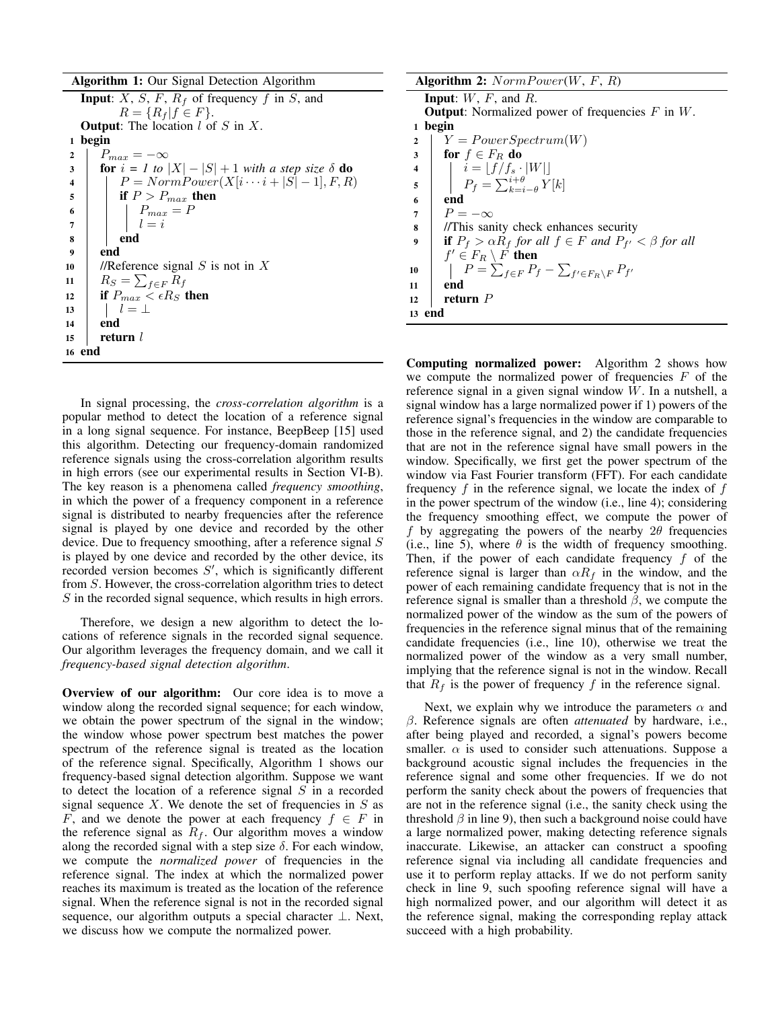|                         | o                                                                         |  |  |  |  |  |  |  |
|-------------------------|---------------------------------------------------------------------------|--|--|--|--|--|--|--|
|                         | <b>Input:</b> X, S, F, $R_f$ of frequency f in S, and                     |  |  |  |  |  |  |  |
|                         | $R = \{R_f   f \in F\}.$                                                  |  |  |  |  |  |  |  |
|                         | <b>Output:</b> The location $l$ of $S$ in $X$ .                           |  |  |  |  |  |  |  |
| 1                       | begin                                                                     |  |  |  |  |  |  |  |
| $\overline{2}$          | $P_{max} = -\infty$                                                       |  |  |  |  |  |  |  |
| $\overline{\mathbf{3}}$ | <b>for</b> $i = 1$ to $ X  -  S  + 1$ with a step size $\delta$ <b>do</b> |  |  |  |  |  |  |  |
| $\overline{\mathbf{4}}$ | $P = NormPower(X[i \cdots i +  S -1], F, R)$                              |  |  |  |  |  |  |  |
| 5                       | if $P > P_{max}$ then                                                     |  |  |  |  |  |  |  |
| 6                       | $\begin{array}{c} P_{max} = P \\ l = i \end{array}$                       |  |  |  |  |  |  |  |
| $\overline{7}$          |                                                                           |  |  |  |  |  |  |  |
| 8                       | end                                                                       |  |  |  |  |  |  |  |
| 9                       | end                                                                       |  |  |  |  |  |  |  |
| 10                      | //Reference signal $S$ is not in $X$                                      |  |  |  |  |  |  |  |
| 11                      | $R_S = \sum_{f \in F} R_f$                                                |  |  |  |  |  |  |  |
| 12                      | if $P_{max} < \epsilon R_S$ then                                          |  |  |  |  |  |  |  |
| 13                      | $l=\perp$                                                                 |  |  |  |  |  |  |  |
| 14                      | end                                                                       |  |  |  |  |  |  |  |
| 15                      | return $l$                                                                |  |  |  |  |  |  |  |
|                         | 16 end                                                                    |  |  |  |  |  |  |  |
|                         |                                                                           |  |  |  |  |  |  |  |

In signal processing, the *cross-correlation algorithm* is a popular method to detect the location of a reference signal in a long signal sequence. For instance, BeepBeep [15] used this algorithm. Detecting our frequency-domain randomized reference signals using the cross-correlation algorithm results in high errors (see our experimental results in Section VI-B). The key reason is a phenomena called *frequency smoothing*, in which the power of a frequency component in a reference signal is distributed to nearby frequencies after the reference signal is played by one device and recorded by the other device. Due to frequency smoothing, after a reference signal S is played by one device and recorded by the other device, its recorded version becomes  $S'$ , which is significantly different from S. However, the cross-correlation algorithm tries to detect S in the recorded signal sequence, which results in high errors.

Therefore, we design a new algorithm to detect the locations of reference signals in the recorded signal sequence. Our algorithm leverages the frequency domain, and we call it *frequency-based signal detection algorithm*.

Overview of our algorithm: Our core idea is to move a window along the recorded signal sequence; for each window, we obtain the power spectrum of the signal in the window; the window whose power spectrum best matches the power spectrum of the reference signal is treated as the location of the reference signal. Specifically, Algorithm 1 shows our frequency-based signal detection algorithm. Suppose we want to detect the location of a reference signal  $S$  in a recorded signal sequence  $X$ . We denote the set of frequencies in  $S$  as F, and we denote the power at each frequency  $f \in F$  in the reference signal as  $R_f$ . Our algorithm moves a window along the recorded signal with a step size  $\delta$ . For each window, we compute the *normalized power* of frequencies in the reference signal. The index at which the normalized power reaches its maximum is treated as the location of the reference signal. When the reference signal is not in the recorded signal sequence, our algorithm outputs a special character ⊥. Next, we discuss how we compute the normalized power.

| <b>Algorithm 2:</b> $NormPower(W, F, R)$                                         |  |  |  |  |  |  |
|----------------------------------------------------------------------------------|--|--|--|--|--|--|
| <b>Input:</b> $W$ , $F$ , and $R$ .                                              |  |  |  |  |  |  |
| <b>Output:</b> Normalized power of frequencies $F$ in $W$ .                      |  |  |  |  |  |  |
| 1 begin                                                                          |  |  |  |  |  |  |
| $Y = PowerSpectrum(W)$<br>$\overline{2}$                                         |  |  |  |  |  |  |
| $\overline{\mathbf{3}}$<br>for $f \in F_R$ do                                    |  |  |  |  |  |  |
| $i = \lfloor f/f_s \cdot  W  \rfloor$<br>$\overline{\mathbf{4}}$                 |  |  |  |  |  |  |
| $P_f = \sum_{k=i-\theta}^{i+\theta} Y[k]$<br>5                                   |  |  |  |  |  |  |
| end<br>6                                                                         |  |  |  |  |  |  |
| $P=-\infty$<br>7                                                                 |  |  |  |  |  |  |
| //This sanity check enhances security<br>8                                       |  |  |  |  |  |  |
| <b>if</b> $P_f > \alpha R_f$ for all $f \in F$ and $P_{f'} < \beta$ for all<br>9 |  |  |  |  |  |  |
| $f' \in F_R \setminus F$ then                                                    |  |  |  |  |  |  |
| $P = \sum_{f \in F} P_f - \sum_{f' \in F_B \backslash F} P_{f'}$<br>10           |  |  |  |  |  |  |
| end<br>11                                                                        |  |  |  |  |  |  |
| return $P$<br>12                                                                 |  |  |  |  |  |  |
| end<br>13                                                                        |  |  |  |  |  |  |

Computing normalized power: Algorithm 2 shows how we compute the normalized power of frequencies  $F$  of the reference signal in a given signal window W. In a nutshell, a signal window has a large normalized power if 1) powers of the reference signal's frequencies in the window are comparable to those in the reference signal, and 2) the candidate frequencies that are not in the reference signal have small powers in the window. Specifically, we first get the power spectrum of the window via Fast Fourier transform (FFT). For each candidate frequency  $f$  in the reference signal, we locate the index of  $f$ in the power spectrum of the window (i.e., line 4); considering the frequency smoothing effect, we compute the power of f by aggregating the powers of the nearby  $2\theta$  frequencies (i.e., line 5), where  $\theta$  is the width of frequency smoothing. Then, if the power of each candidate frequency  $f$  of the reference signal is larger than  $\alpha R_f$  in the window, and the power of each remaining candidate frequency that is not in the reference signal is smaller than a threshold  $\beta$ , we compute the normalized power of the window as the sum of the powers of frequencies in the reference signal minus that of the remaining candidate frequencies (i.e., line 10), otherwise we treat the normalized power of the window as a very small number, implying that the reference signal is not in the window. Recall that  $R_f$  is the power of frequency f in the reference signal.

Next, we explain why we introduce the parameters  $\alpha$  and β. Reference signals are often *attenuated* by hardware, i.e., after being played and recorded, a signal's powers become smaller.  $\alpha$  is used to consider such attenuations. Suppose a background acoustic signal includes the frequencies in the reference signal and some other frequencies. If we do not perform the sanity check about the powers of frequencies that are not in the reference signal (i.e., the sanity check using the threshold  $\beta$  in line 9), then such a background noise could have a large normalized power, making detecting reference signals inaccurate. Likewise, an attacker can construct a spoofing reference signal via including all candidate frequencies and use it to perform replay attacks. If we do not perform sanity check in line 9, such spoofing reference signal will have a high normalized power, and our algorithm will detect it as the reference signal, making the corresponding replay attack succeed with a high probability.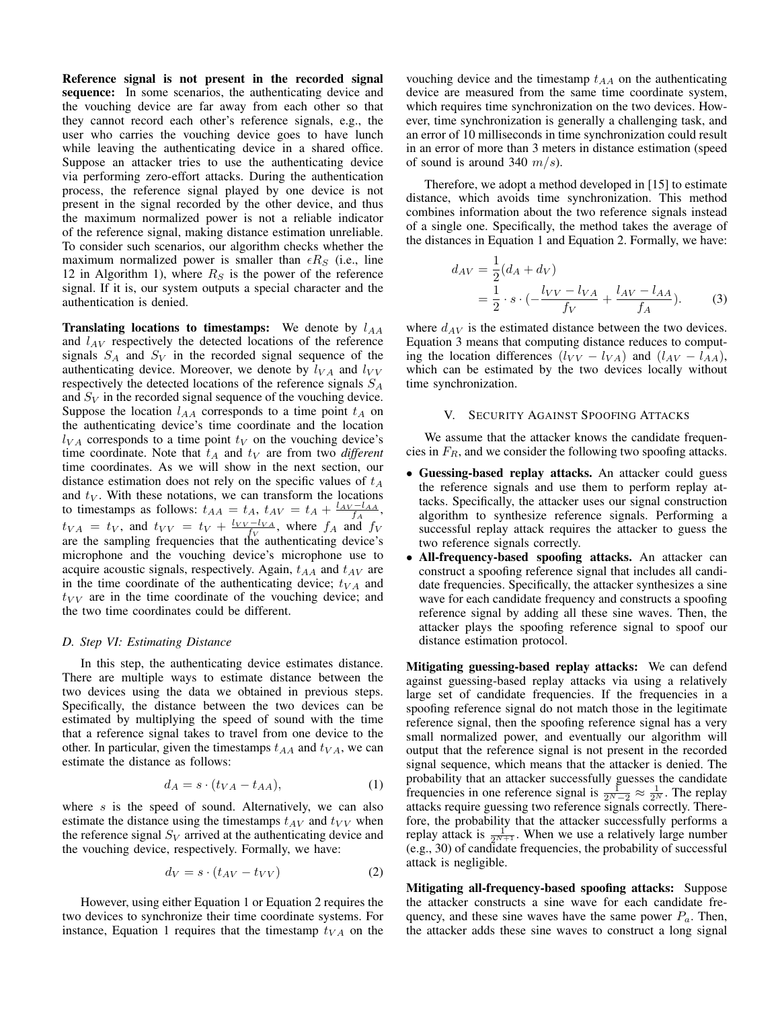Reference signal is not present in the recorded signal sequence: In some scenarios, the authenticating device and the vouching device are far away from each other so that they cannot record each other's reference signals, e.g., the user who carries the vouching device goes to have lunch while leaving the authenticating device in a shared office. Suppose an attacker tries to use the authenticating device via performing zero-effort attacks. During the authentication process, the reference signal played by one device is not present in the signal recorded by the other device, and thus the maximum normalized power is not a reliable indicator of the reference signal, making distance estimation unreliable. To consider such scenarios, our algorithm checks whether the maximum normalized power is smaller than  $\epsilon R_S$  (i.e., line 12 in Algorithm 1), where  $R<sub>S</sub>$  is the power of the reference signal. If it is, our system outputs a special character and the authentication is denied.

Translating locations to timestamps: We denote by  $l_{AA}$ and  $l_{AV}$  respectively the detected locations of the reference signals  $S_A$  and  $S_V$  in the recorded signal sequence of the authenticating device. Moreover, we denote by  $l_{VA}$  and  $l_{VV}$ respectively the detected locations of the reference signals  $S_A$ and  $S_V$  in the recorded signal sequence of the vouching device. Suppose the location  $l_{AA}$  corresponds to a time point  $t_A$  on the authenticating device's time coordinate and the location  $l_{VA}$  corresponds to a time point  $t_V$  on the vouching device's time coordinate. Note that  $t_A$  and  $t_V$  are from two *different* time coordinates. As we will show in the next section, our distance estimation does not rely on the specific values of  $t_A$ and  $t_V$ . With these notations, we can transform the locations to timestamps as follows:  $t_{AA} = t_A$ ,  $t_{AV} = t_A + \frac{l_{AV} - l_{AA}}{f_A}$ ,  $t_{VA} = t_V$ , and  $t_{VV} = t_V + \frac{l_{VV} - l_{VA}}{f_V}$ , where  $f_A$  and  $f_V$ are the sampling frequencies that the authenticating device's microphone and the vouching device's microphone use to acquire acoustic signals, respectively. Again,  $t_{AA}$  and  $t_{AV}$  are in the time coordinate of the authenticating device;  $t_{VA}$  and  $t_{VV}$  are in the time coordinate of the vouching device; and the two time coordinates could be different.

#### *D. Step VI: Estimating Distance*

In this step, the authenticating device estimates distance. There are multiple ways to estimate distance between the two devices using the data we obtained in previous steps. Specifically, the distance between the two devices can be estimated by multiplying the speed of sound with the time that a reference signal takes to travel from one device to the other. In particular, given the timestamps  $t_{AA}$  and  $t_{VA}$ , we can estimate the distance as follows:

$$
d_A = s \cdot (t_{VA} - t_{AA}), \tag{1}
$$

where  $s$  is the speed of sound. Alternatively, we can also estimate the distance using the timestamps  $t_{AV}$  and  $t_{VV}$  when the reference signal  $S_V$  arrived at the authenticating device and the vouching device, respectively. Formally, we have:

$$
d_V = s \cdot (t_{AV} - t_{VV}) \tag{2}
$$

However, using either Equation 1 or Equation 2 requires the two devices to synchronize their time coordinate systems. For instance, Equation 1 requires that the timestamp  $t_{VA}$  on the

vouching device and the timestamp  $t_{AA}$  on the authenticating device are measured from the same time coordinate system, which requires time synchronization on the two devices. However, time synchronization is generally a challenging task, and an error of 10 milliseconds in time synchronization could result in an error of more than 3 meters in distance estimation (speed of sound is around 340  $m/s$ ).

Therefore, we adopt a method developed in [15] to estimate distance, which avoids time synchronization. This method combines information about the two reference signals instead of a single one. Specifically, the method takes the average of the distances in Equation 1 and Equation 2. Formally, we have:

$$
d_{AV} = \frac{1}{2}(d_A + d_V)
$$
  
=  $\frac{1}{2} \cdot s \cdot (-\frac{l_{VV} - l_{VA}}{f_V} + \frac{l_{AV} - l_{AA}}{f_A}).$  (3)

where  $d_{AV}$  is the estimated distance between the two devices. Equation 3 means that computing distance reduces to computing the location differences  $(l_{VV} - l_{VA})$  and  $(l_{AV} - l_{AA})$ , which can be estimated by the two devices locally without time synchronization.

# V. SECURITY AGAINST SPOOFING ATTACKS

We assume that the attacker knows the candidate frequencies in  $F_R$ , and we consider the following two spoofing attacks.

- Guessing-based replay attacks. An attacker could guess the reference signals and use them to perform replay attacks. Specifically, the attacker uses our signal construction algorithm to synthesize reference signals. Performing a successful replay attack requires the attacker to guess the two reference signals correctly.
- All-frequency-based spoofing attacks. An attacker can construct a spoofing reference signal that includes all candidate frequencies. Specifically, the attacker synthesizes a sine wave for each candidate frequency and constructs a spoofing reference signal by adding all these sine waves. Then, the attacker plays the spoofing reference signal to spoof our distance estimation protocol.

Mitigating guessing-based replay attacks: We can defend against guessing-based replay attacks via using a relatively large set of candidate frequencies. If the frequencies in a spoofing reference signal do not match those in the legitimate reference signal, then the spoofing reference signal has a very small normalized power, and eventually our algorithm will output that the reference signal is not present in the recorded signal sequence, which means that the attacker is denied. The probability that an attacker successfully guesses the candidate frequencies in one reference signal is  $\frac{1}{2^N-2} \approx \frac{1}{2^N}$ . The replay attacks require guessing two reference signals correctly. Therefore, the probability that the attacker successfully performs a replay attack is  $\frac{1}{2^{N+1}}$ . When we use a relatively large number (e.g., 30) of candidate frequencies, the probability of successful attack is negligible.

Mitigating all-frequency-based spoofing attacks: Suppose the attacker constructs a sine wave for each candidate frequency, and these sine waves have the same power  $P_a$ . Then, the attacker adds these sine waves to construct a long signal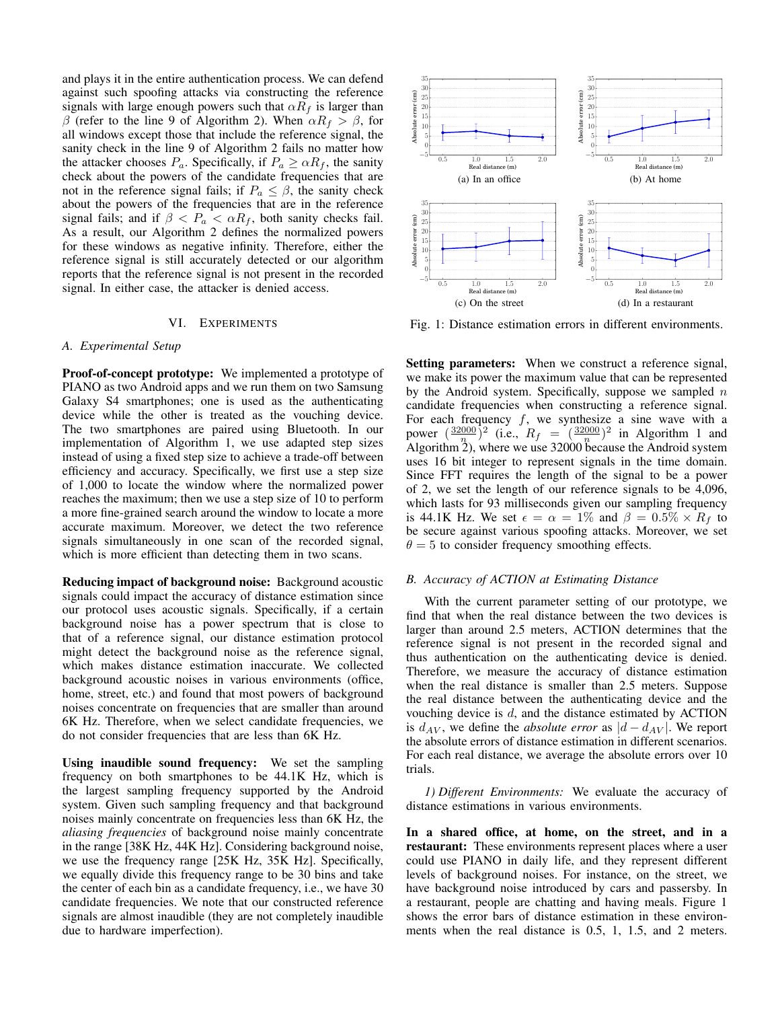and plays it in the entire authentication process. We can defend against such spoofing attacks via constructing the reference signals with large enough powers such that  $\alpha R_f$  is larger than β (refer to the line 9 of Algorithm 2). When  $\alpha R_f > \beta$ , for all windows except those that include the reference signal, the sanity check in the line 9 of Algorithm 2 fails no matter how the attacker chooses  $P_a$ . Specifically, if  $P_a \geq \alpha R_f$ , the sanity check about the powers of the candidate frequencies that are not in the reference signal fails; if  $P_a \leq \beta$ , the sanity check about the powers of the frequencies that are in the reference signal fails; and if  $\beta < P_a < \alpha R_f$ , both sanity checks fail. As a result, our Algorithm 2 defines the normalized powers for these windows as negative infinity. Therefore, either the reference signal is still accurately detected or our algorithm reports that the reference signal is not present in the recorded signal. In either case, the attacker is denied access.

## VI. EXPERIMENTS

#### *A. Experimental Setup*

Proof-of-concept prototype: We implemented a prototype of PIANO as two Android apps and we run them on two Samsung Galaxy S4 smartphones; one is used as the authenticating device while the other is treated as the vouching device. The two smartphones are paired using Bluetooth. In our implementation of Algorithm 1, we use adapted step sizes instead of using a fixed step size to achieve a trade-off between efficiency and accuracy. Specifically, we first use a step size of 1,000 to locate the window where the normalized power reaches the maximum; then we use a step size of 10 to perform a more fine-grained search around the window to locate a more accurate maximum. Moreover, we detect the two reference signals simultaneously in one scan of the recorded signal, which is more efficient than detecting them in two scans.

Reducing impact of background noise: Background acoustic signals could impact the accuracy of distance estimation since our protocol uses acoustic signals. Specifically, if a certain background noise has a power spectrum that is close to that of a reference signal, our distance estimation protocol might detect the background noise as the reference signal, which makes distance estimation inaccurate. We collected background acoustic noises in various environments (office, home, street, etc.) and found that most powers of background noises concentrate on frequencies that are smaller than around 6K Hz. Therefore, when we select candidate frequencies, we do not consider frequencies that are less than 6K Hz.

Using inaudible sound frequency: We set the sampling frequency on both smartphones to be 44.1K Hz, which is the largest sampling frequency supported by the Android system. Given such sampling frequency and that background noises mainly concentrate on frequencies less than 6K Hz, the *aliasing frequencies* of background noise mainly concentrate in the range [38K Hz, 44K Hz]. Considering background noise, we use the frequency range [25K Hz, 35K Hz]. Specifically, we equally divide this frequency range to be 30 bins and take the center of each bin as a candidate frequency, i.e., we have 30 candidate frequencies. We note that our constructed reference signals are almost inaudible (they are not completely inaudible due to hardware imperfection).



Fig. 1: Distance estimation errors in different environments.

Setting parameters: When we construct a reference signal, we make its power the maximum value that can be represented by the Android system. Specifically, suppose we sampled  $n$ candidate frequencies when constructing a reference signal. For each frequency  $f$ , we synthesize a sine wave with a power  $\left(\frac{32000}{n}\right)^2$  (i.e.,  $R_f = \left(\frac{32000}{n}\right)^2$  in Algorithm 1 and Algorithm 2), where we use 32000 because the Android system uses 16 bit integer to represent signals in the time domain. Since FFT requires the length of the signal to be a power of 2, we set the length of our reference signals to be 4,096, which lasts for 93 milliseconds given our sampling frequency is 44.1K Hz. We set  $\epsilon = \alpha = 1\%$  and  $\beta = 0.5\% \times R_f$  to be secure against various spoofing attacks. Moreover, we set  $\theta = 5$  to consider frequency smoothing effects.

# *B. Accuracy of ACTION at Estimating Distance*

With the current parameter setting of our prototype, we find that when the real distance between the two devices is larger than around 2.5 meters, ACTION determines that the reference signal is not present in the recorded signal and thus authentication on the authenticating device is denied. Therefore, we measure the accuracy of distance estimation when the real distance is smaller than 2.5 meters. Suppose the real distance between the authenticating device and the vouching device is  $d$ , and the distance estimated by ACTION is  $d_{AV}$ , we define the *absolute error* as  $|d - d_{AV}|$ . We report the absolute errors of distance estimation in different scenarios. For each real distance, we average the absolute errors over 10 trials.

*1) Different Environments:* We evaluate the accuracy of distance estimations in various environments.

In a shared office, at home, on the street, and in a restaurant: These environments represent places where a user could use PIANO in daily life, and they represent different levels of background noises. For instance, on the street, we have background noise introduced by cars and passersby. In a restaurant, people are chatting and having meals. Figure 1 shows the error bars of distance estimation in these environments when the real distance is 0.5, 1, 1.5, and 2 meters.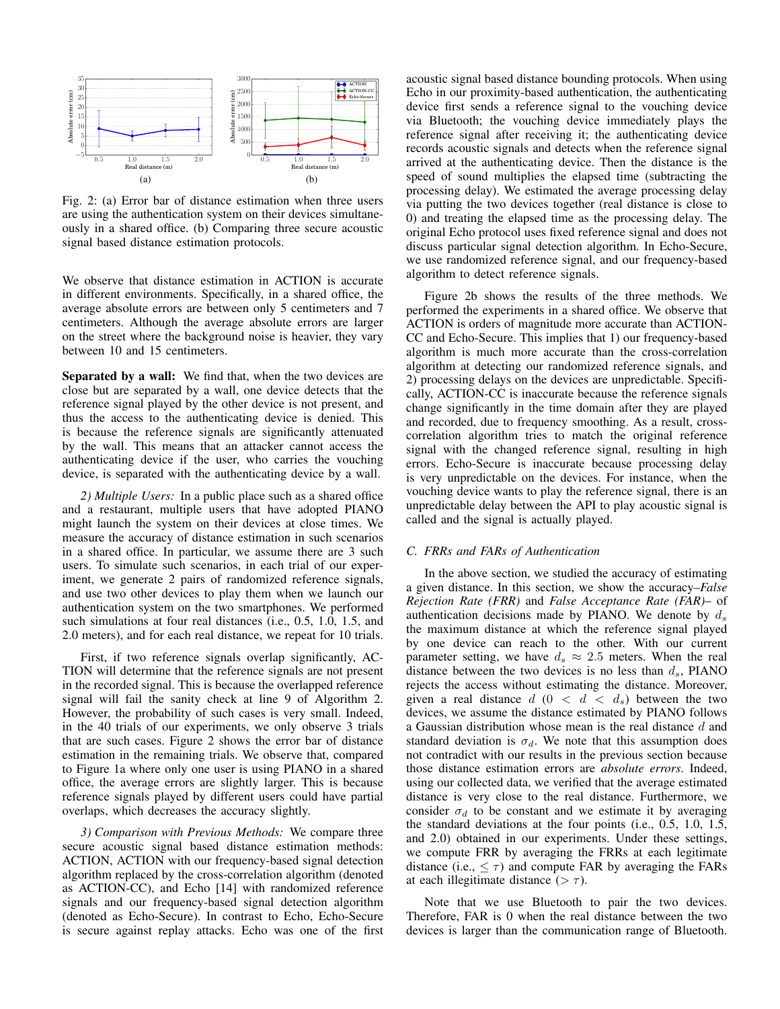

Fig. 2: (a) Error bar of distance estimation when three users are using the authentication system on their devices simultaneously in a shared office. (b) Comparing three secure acoustic signal based distance estimation protocols.

We observe that distance estimation in ACTION is accurate in different environments. Specifically, in a shared office, the average absolute errors are between only 5 centimeters and 7 centimeters. Although the average absolute errors are larger on the street where the background noise is heavier, they vary between 10 and 15 centimeters.

Separated by a wall: We find that, when the two devices are close but are separated by a wall, one device detects that the reference signal played by the other device is not present, and thus the access to the authenticating device is denied. This is because the reference signals are significantly attenuated by the wall. This means that an attacker cannot access the authenticating device if the user, who carries the vouching device, is separated with the authenticating device by a wall.

*2) Multiple Users:* In a public place such as a shared office and a restaurant, multiple users that have adopted PIANO might launch the system on their devices at close times. We measure the accuracy of distance estimation in such scenarios in a shared office. In particular, we assume there are 3 such users. To simulate such scenarios, in each trial of our experiment, we generate 2 pairs of randomized reference signals, and use two other devices to play them when we launch our authentication system on the two smartphones. We performed such simulations at four real distances (i.e., 0.5, 1.0, 1.5, and 2.0 meters), and for each real distance, we repeat for 10 trials.

First, if two reference signals overlap significantly, AC-TION will determine that the reference signals are not present in the recorded signal. This is because the overlapped reference signal will fail the sanity check at line 9 of Algorithm 2. However, the probability of such cases is very small. Indeed, in the 40 trials of our experiments, we only observe 3 trials that are such cases. Figure 2 shows the error bar of distance estimation in the remaining trials. We observe that, compared to Figure 1a where only one user is using PIANO in a shared office, the average errors are slightly larger. This is because reference signals played by different users could have partial overlaps, which decreases the accuracy slightly.

*3) Comparison with Previous Methods:* We compare three secure acoustic signal based distance estimation methods: ACTION, ACTION with our frequency-based signal detection algorithm replaced by the cross-correlation algorithm (denoted as ACTION-CC), and Echo [14] with randomized reference signals and our frequency-based signal detection algorithm (denoted as Echo-Secure). In contrast to Echo, Echo-Secure is secure against replay attacks. Echo was one of the first acoustic signal based distance bounding protocols. When using Echo in our proximity-based authentication, the authenticating device first sends a reference signal to the vouching device via Bluetooth; the vouching device immediately plays the reference signal after receiving it; the authenticating device records acoustic signals and detects when the reference signal arrived at the authenticating device. Then the distance is the speed of sound multiplies the elapsed time (subtracting the processing delay). We estimated the average processing delay via putting the two devices together (real distance is close to 0) and treating the elapsed time as the processing delay. The original Echo protocol uses fixed reference signal and does not discuss particular signal detection algorithm. In Echo-Secure, we use randomized reference signal, and our frequency-based algorithm to detect reference signals.

Figure 2b shows the results of the three methods. We performed the experiments in a shared office. We observe that ACTION is orders of magnitude more accurate than ACTION-CC and Echo-Secure. This implies that 1) our frequency-based algorithm is much more accurate than the cross-correlation algorithm at detecting our randomized reference signals, and 2) processing delays on the devices are unpredictable. Specifically, ACTION-CC is inaccurate because the reference signals change significantly in the time domain after they are played and recorded, due to frequency smoothing. As a result, crosscorrelation algorithm tries to match the original reference signal with the changed reference signal, resulting in high errors. Echo-Secure is inaccurate because processing delay is very unpredictable on the devices. For instance, when the vouching device wants to play the reference signal, there is an unpredictable delay between the API to play acoustic signal is called and the signal is actually played.

#### *C. FRRs and FARs of Authentication*

In the above section, we studied the accuracy of estimating a given distance. In this section, we show the accuracy–*False Rejection Rate (FRR)* and *False Acceptance Rate (FAR)*– of authentication decisions made by PIANO. We denote by  $d_s$ the maximum distance at which the reference signal played by one device can reach to the other. With our current parameter setting, we have  $d_s \approx 2.5$  meters. When the real distance between the two devices is no less than  $d_s$ , PIANO rejects the access without estimating the distance. Moreover, given a real distance  $d$  (0 <  $d$  <  $d_s$ ) between the two devices, we assume the distance estimated by PIANO follows a Gaussian distribution whose mean is the real distance d and standard deviation is  $\sigma_d$ . We note that this assumption does not contradict with our results in the previous section because those distance estimation errors are *absolute errors*. Indeed, using our collected data, we verified that the average estimated distance is very close to the real distance. Furthermore, we consider  $\sigma_d$  to be constant and we estimate it by averaging the standard deviations at the four points (i.e., 0.5, 1.0, 1.5, and 2.0) obtained in our experiments. Under these settings, we compute FRR by averaging the FRRs at each legitimate distance (i.e.,  $\leq \tau$ ) and compute FAR by averaging the FARs at each illegitimate distance ( $> \tau$ ).

Note that we use Bluetooth to pair the two devices. Therefore, FAR is 0 when the real distance between the two devices is larger than the communication range of Bluetooth.